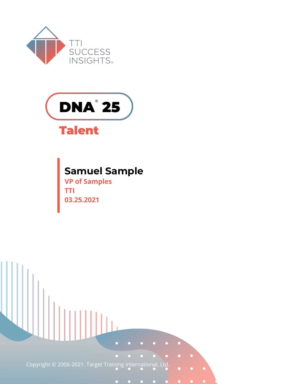



### **Talent**

#### **Samuel Sample**

**VP of Samples TTI 03.25.2021**

Copyright © 2006-2021. Target Training International, Ltd.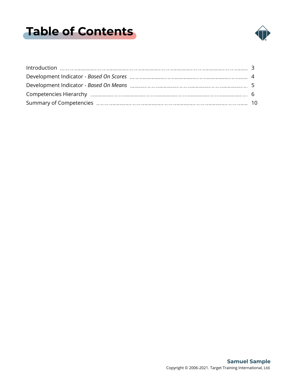## <span id="page-1-0"></span>**Table of Contents**

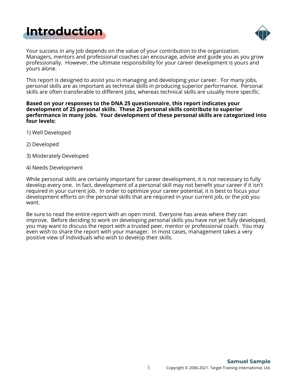<span id="page-2-0"></span>



Your success in any job depends on the value of your contribution to the organization. Managers, mentors and professional coaches can encourage, advise and guide you as you grow professionally. However, the ultimate responsibility for your career development is yours and yours alone.

This report is designed to assist you in managing and developing your career. For many jobs, personal skills are as important as technical skills in producing superior performance. Personal skills are often transferable to different jobs, whereas technical skills are usually more specific.

#### **Based on your responses to the DNA 25 questionnaire, this report indicates your development of 25 personal skills. These 25 personal skills contribute to superior performance in many jobs. Your development of these personal skills are categorized into four levels:**

- 1) Well Developed
- 2) Developed
- 3) Moderately Developed
- 4) Needs Development

While personal skills are certainly important for career development, it is not necessary to fully develop every one. In fact, development of a personal skill may not benefit your career if it isn't required in your current job. In order to optimize your career potential, it is best to focus your development efforts on the personal skills that are required in your current job, or the job you want.

Be sure to read the entire report with an open mind. Everyone has areas where they can improve. Before deciding to work on developing personal skills you have not yet fully developed, you may want to discuss the report with a trusted peer, mentor or professional coach. You may even wish to share the report with your manager. In most cases, management takes a very positive view of individuals who wish to develop their skills.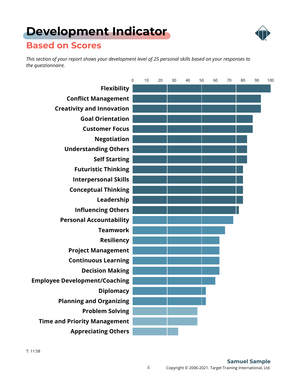# <span id="page-3-0"></span>**[Development Indicator](#page-1-0)**



#### **Based on Scores**

*This section of your report shows your development level of 25 personal skills based on your responses to the questionnaire.*

|                                      | $\mathbf 0$ | 10 | 20 | 30 | 40 | 50 | 60 | 70 | 80 | 90 | 100 |
|--------------------------------------|-------------|----|----|----|----|----|----|----|----|----|-----|
| <b>Flexibility</b>                   |             |    |    |    |    |    |    |    |    |    |     |
| <b>Conflict Management</b>           |             |    |    |    |    |    |    |    |    |    |     |
| <b>Creativity and Innovation</b>     |             |    |    |    |    |    |    |    |    |    |     |
| <b>Goal Orientation</b>              |             |    |    |    |    |    |    |    |    |    |     |
| <b>Customer Focus</b>                |             |    |    |    |    |    |    |    |    |    |     |
| <b>Negotiation</b>                   |             |    |    |    |    |    |    |    |    |    |     |
| <b>Understanding Others</b>          |             |    |    |    |    |    |    |    |    |    |     |
| <b>Self Starting</b>                 |             |    |    |    |    |    |    |    |    |    |     |
| <b>Futuristic Thinking</b>           |             |    |    |    |    |    |    |    |    |    |     |
| <b>Interpersonal Skills</b>          |             |    |    |    |    |    |    |    |    |    |     |
| <b>Conceptual Thinking</b>           |             |    |    |    |    |    |    |    |    |    |     |
| Leadership                           |             |    |    |    |    |    |    |    |    |    |     |
| <b>Influencing Others</b>            |             |    |    |    |    |    |    |    |    |    |     |
| <b>Personal Accountability</b>       |             |    |    |    |    |    |    |    |    |    |     |
| <b>Teamwork</b>                      |             |    |    |    |    |    |    |    |    |    |     |
| <b>Resiliency</b>                    |             |    |    |    |    |    |    |    |    |    |     |
| <b>Project Management</b>            |             |    |    |    |    |    |    |    |    |    |     |
| <b>Continuous Learning</b>           |             |    |    |    |    |    |    |    |    |    |     |
| <b>Decision Making</b>               |             |    |    |    |    |    |    |    |    |    |     |
| <b>Employee Development/Coaching</b> |             |    |    |    |    |    |    |    |    |    |     |
| <b>Diplomacy</b>                     |             |    |    |    |    |    |    |    |    |    |     |
| <b>Planning and Organizing</b>       |             |    |    |    |    |    |    |    |    |    |     |
| <b>Problem Solving</b>               |             |    |    |    |    |    |    |    |    |    |     |
| <b>Time and Priority Management</b>  |             |    |    |    |    |    |    |    |    |    |     |
| <b>Appreciating Others</b>           |             |    |    |    |    |    |    |    |    |    |     |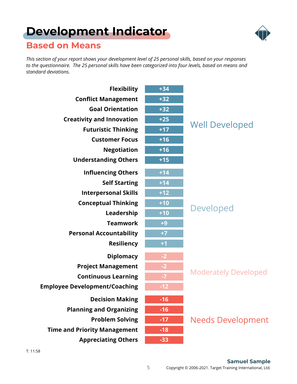# <span id="page-4-0"></span>**[Development Indicator](#page-1-0)**



#### **Based on Means**

*This section of your report shows your development level of 25 personal skills, based on your responses to the questionnaire. The 25 personal skills have been categorized into four levels, based on means and standard deviations.*

| <b>Flexibility</b>                   | $+34$ |                             |
|--------------------------------------|-------|-----------------------------|
| <b>Conflict Management</b>           | $+32$ |                             |
| <b>Goal Orientation</b>              | $+32$ |                             |
| <b>Creativity and Innovation</b>     | $+25$ | <b>Well Developed</b>       |
| <b>Futuristic Thinking</b>           | $+17$ |                             |
| <b>Customer Focus</b>                | $+16$ |                             |
| <b>Negotiation</b>                   | $+16$ |                             |
| <b>Understanding Others</b>          | $+15$ |                             |
| <b>Influencing Others</b>            | $+14$ |                             |
| <b>Self Starting</b>                 | $+14$ |                             |
| <b>Interpersonal Skills</b>          | $+12$ |                             |
| <b>Conceptual Thinking</b>           | $+10$ | <b>Developed</b>            |
| Leadership                           | $+10$ |                             |
| <b>Teamwork</b>                      | $+9$  |                             |
| <b>Personal Accountability</b>       | $+7$  |                             |
| <b>Resiliency</b>                    | $+1$  |                             |
| <b>Diplomacy</b>                     | $-2$  |                             |
| <b>Project Management</b>            | $-2$  |                             |
| <b>Continuous Learning</b>           | $-7$  | <b>Moderately Developed</b> |
| <b>Employee Development/Coaching</b> | $-12$ |                             |
| <b>Decision Making</b>               | $-16$ |                             |
| <b>Planning and Organizing</b>       | $-16$ |                             |
| <b>Problem Solving</b>               | $-17$ | <b>Needs Development</b>    |
| <b>Time and Priority Management</b>  | $-18$ |                             |
| <b>Appreciating Others</b>           | $-33$ |                             |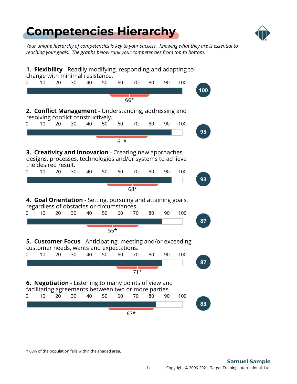

<span id="page-5-0"></span>*Your unique hierarchy of competencies is key to your success. Knowing what they are is essential to reaching your goals. The graphs below rank your competencies from top to bottom.*

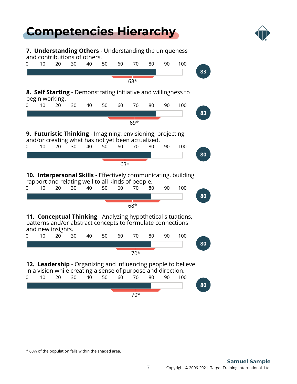

**7. Understanding Others** - Understanding the uniqueness and contributions of others.

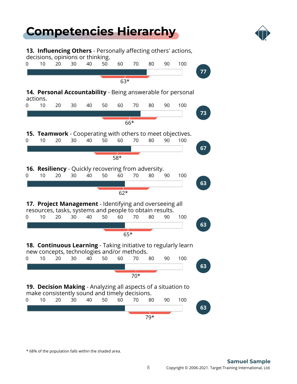

**13. Influencing Others** - Personally affecting others' actions, decisions, opinions or thinking.

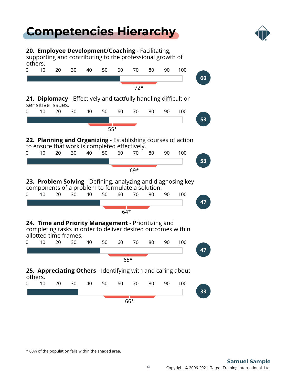

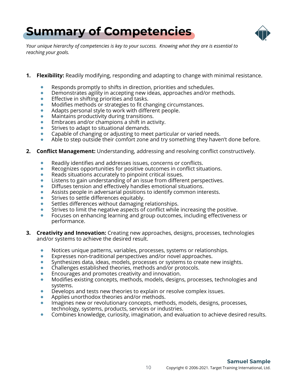

<span id="page-9-0"></span>*Your unique hierarchy of competencies is key to your success. Knowing what they are is essential to reaching your goals.*

- **1. Flexibility:** Readily modifying, responding and adapting to change with minimal resistance.
	- $\bullet$ Responds promptly to shifts in direction, priorities and schedules.
	- $\bullet$ Demonstrates agility in accepting new ideas, approaches and/or methods.
	- Effective in shifting priorities and tasks.  $\bullet$
	- Modifies methods or strategies to fit changing circumstances.  $\bullet$
	- Adapts personal style to work with different people.  $\bullet$
	- $\bullet$ Maintains productivity during transitions.
	- Embraces and/or champions a shift in activity.
	- Strives to adapt to situational demands.
	- Capable of changing or adjusting to meet particular or varied needs.  $\qquad \qquad \bullet$
	- Able to step outside their comfort zone and try something they haven't done before.
- **2. Conflict Management:** Understanding, addressing and resolving conflict constructively.
	- Readily identifies and addresses issues, concerns or conflicts.  $\bullet$
	- Recognizes opportunities for positive outcomes in conflict situations.  $\bullet$
	- Reads situations accurately to pinpoint critical issues.  $\bullet$
	- Listens to gain understanding of an issue from different perspectives.
	- Diffuses tension and effectively handles emotional situations.
	- Assists people in adversarial positions to identify common interests.
	- Strives to settle differences equitably.
	- Settles differences without damaging relationships.
	- Strives to limit the negative aspects of conflict while increasing the positive.
	- Focuses on enhancing learning and group outcomes, including effectiveness or  $\bullet$ performance.
- **3. Creativity and Innovation:** Creating new approaches, designs, processes, technologies and/or systems to achieve the desired result.
	- $\bullet$ Notices unique patterns, variables, processes, systems or relationships.
	- Expresses non-traditional perspectives and/or novel approaches.  $\bullet$
	- Synthesizes data, ideas, models, processes or systems to create new insights.  $\bullet$
	- Challenges established theories, methods and/or protocols.
	- Encourages and promotes creativity and innovation.
	- Modifies existing concepts, methods, models, designs, processes, technologies and systems.
	- Develops and tests new theories to explain or resolve complex issues.
	- Applies unorthodox theories and/or methods.
	- $\bullet$ Imagines new or revolutionary concepts, methods, models, designs, processes, technology, systems, products, services or industries.
	- Combines knowledge, curiosity, imagination, and evaluation to achieve desired results.  $\bullet$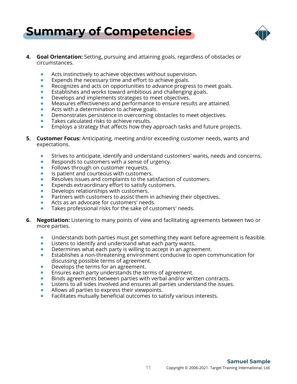

- **4. Goal Orientation:** Setting, pursuing and attaining goals, regardless of obstacles or circumstances.
	- Acts instinctively to achieve objectives without supervision.  $\bullet$
	- $\bullet$ Expends the necessary time and effort to achieve goals.
	- Recognizes and acts on opportunities to advance progress to meet goals.
	- Establishes and works toward ambitious and challenging goals.  $\bullet$
	- Develops and implements strategies to meet objectives.  $\bullet$
	- Measures effectiveness and performance to ensure results are attained.
	- Acts with a determination to achieve goals.
	- Demonstrates persistence in overcoming obstacles to meet objectives.
	- Takes calculated risks to achieve results.  $\bullet$
	- Employs a strategy that affects how they approach tasks and future projects.
- **5. Customer Focus:** Anticipating, meeting and/or exceeding customer needs, wants and expectations.
	- Strives to anticipate, identify and understand customers' wants, needs and concerns.  $\bullet$
	- Responds to customers with a sense of urgency.  $\bullet$
	- Follows through on customer requests.  $\qquad \qquad \bullet$
	- Is patient and courteous with customers.  $\qquad \qquad \bullet$
	- Resolves issues and complaints to the satisfaction of customers.
	- Expends extraordinary effort to satisfy customers.  $\bullet$
	- Develops relationships with customers.
	- Partners with customers to assist them in achieving their objectives.
	- Acts as an advocate for customers' needs.
	- Takes professional risks for the sake of customers' needs.  $\bullet$
- **6. Negotiation:** Listening to many points of view and facilitating agreements between two or more parties.
	- Understands both parties must get something they want before agreement is feasible.
	- Listens to identify and understand what each party wants.  $\bullet$
	- Determines what each party is willing to accept in an agreement.  $\bullet$
	- Establishes a non-threatening environment conducive to open communication for discussing possible terms of agreement.
	- Develops the terms for an agreement.
	- Ensures each party understands the terms of agreement.
	- Binds agreements between parties with verbal and/or written contracts.
	- Listens to all sides involved and ensures all parties understand the issues.
	- Allows all parties to express their viewpoints.
	- Facilitates mutually beneficial outcomes to satisfy various interests.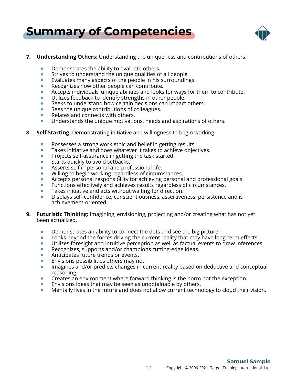

#### **7. Understanding Others:** Understanding the uniqueness and contributions of others.

- Demonstrates the ability to evaluate others.
- Strives to understand the unique qualities of all people.  $\bullet$
- $\bullet$ Evaluates many aspects of the people in his surroundings.
- Recognizes how other people can contribute.
- Accepts individuals' unique abilities and looks for ways for them to contribute.
- Utilizes feedback to identify strengths in other people.  $\bullet$
- Seeks to understand how certain decisions can impact others.
- Sees the unique contributions of colleagues.  $\bullet$
- Relates and connects with others.  $\bullet$
- Understands the unique motivations, needs and aspirations of others.  $\bullet$
- **8. Self Starting:** Demonstrating initiative and willingness to begin working.
	- Possesses a strong work ethic and belief in getting results.  $\bullet$
	- Takes initiative and does whatever it takes to achieve objectives.  $\bullet$
	- Projects self-assurance in getting the task started.  $\bullet$
	- Starts quickly to avoid setbacks.  $\bullet$
	- Asserts self in personal and professional life.  $\qquad \qquad \bullet$
	- Willing to begin working regardless of circumstances.
	- Accepts personal responsibility for achieving personal and professional goals.
	- Functions effectively and achieves results regardless of circumstances.  $\bullet$
	- $\bullet$ Takes initiative and acts without waiting for direction.
	- $\bullet$ Displays self-confidence, conscientiousness, assertiveness, persistence and is achievement-oriented.
- **9. Futuristic Thinking:** Imagining, envisioning, projecting and/or creating what has not yet been actualized.
	- Demonstrates an ability to connect the dots and see the big picture.
	- $\bullet$ Looks beyond the forces driving the current reality that may have long-term effects.
	- Utilizes foresight and intuitive perception as well as factual events to draw inferences.
	- Recognizes, supports and/or champions cutting-edge ideas.  $\bullet$
	- Anticipates future trends or events.
	- Envisions possibilities others may not.
	- Imagines and/or predicts changes in current reality based on deductive and conceptual  $\bullet$ reasoning.
	- Creates an environment where forward thinking is the norm not the exception.  $\bullet$
	- Envisions ideas that may be seen as unobtainable by others.  $\bullet$
	- $\bullet$ Mentally lives in the future and does not allow current technology to cloud their vision.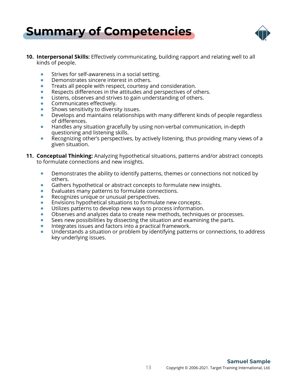



- **10. Interpersonal Skills:** Effectively communicating, building rapport and relating well to all kinds of people.
	- Strives for self-awareness in a social setting.  $\bullet$
	- $\bullet$ Demonstrates sincere interest in others.
	- Treats all people with respect, courtesy and consideration.
	- Respects differences in the attitudes and perspectives of others.  $\bullet$
	- Listens, observes and strives to gain understanding of others.
	- Communicates effectively.
	- Shows sensitivity to diversity issues.
	- Develops and maintains relationships with many different kinds of people regardless of differences.
	- Handles any situation gracefully by using non-verbal communication, in-depth questioning and listening skills.
	- $\bullet$ Recognizing other's perspectives, by actively listening, thus providing many views of a given situation.
- **11. Conceptual Thinking:** Analyzing hypothetical situations, patterns and/or abstract concepts to formulate connections and new insights.
	- Demonstrates the ability to identify patterns, themes or connections not noticed by  $\bullet$ others.
	- Gathers hypothetical or abstract concepts to formulate new insights.  $\bullet$
	- Evaluates many patterns to formulate connections.
	- Recognizes unique or unusual perspectives.
	- Envisions hypothetical situations to formulate new concepts.
	- Utilizes patterns to develop new ways to process information.  $\bullet$
	- Observes and analyzes data to create new methods, techniques or processes.
	- Sees new possibilities by dissecting the situation and examining the parts.
	- $\bullet$ Integrates issues and factors into a practical framework.
	- Understands a situation or problem by identifying patterns or connections, to address key underlying issues.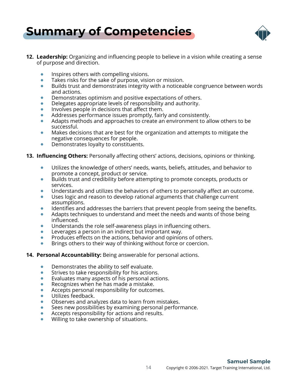



- **12. Leadership:** Organizing and influencing people to believe in a vision while creating a sense of purpose and direction.
	- Inspires others with compelling visions.  $\bullet$
	- $\bullet$ Takes risks for the sake of purpose, vision or mission.
	- Builds trust and demonstrates integrity with a noticeable congruence between words  $\bullet$ and actions.
	- Demonstrates optimism and positive expectations of others.
	- Delegates appropriate levels of responsibility and authority.  $\bullet$
	- Involves people in decisions that affect them.
	- Addresses performance issues promptly, fairly and consistently.
	- Adapts methods and approaches to create an environment to allow others to be  $\bullet$ successful.
	- $\bullet$ Makes decisions that are best for the organization and attempts to mitigate the negative consequences for people.
	- Demonstrates loyalty to constituents.  $\blacksquare$

#### **13. Influencing Others:** Personally affecting others' actions, decisions, opinions or thinking.

- $\bullet$ Utilizes the knowledge of others' needs, wants, beliefs, attitudes, and behavior to promote a concept, product or service.
- Builds trust and credibility before attempting to promote concepts, products or  $\bullet$ services.
- Understands and utilizes the behaviors of others to personally affect an outcome.
- Uses logic and reason to develop rational arguments that challenge current assumptions.
- Identifies and addresses the barriers that prevent people from seeing the benefits.  $\bullet$
- Adapts techniques to understand and meet the needs and wants of those being  $\bullet$ influenced.
- Understands the role self-awareness plays in influencing others.  $\bullet$
- Leverages a person in an indirect but important way.
- Produces effects on the actions, behavior and opinions of others.  $\bullet$
- Brings others to their way of thinking without force or coercion.

#### **14. Personal Accountability:** Being answerable for personal actions.

- $\bullet$ Demonstrates the ability to self evaluate.
- $\bullet$ Strives to take responsibility for his actions.
- Evaluates many aspects of his personal actions.  $\bullet$
- Recognizes when he has made a mistake.
- $\bullet$ Accepts personal responsibility for outcomes.
- Utilizes feedback.
- Observes and analyzes data to learn from mistakes.
- Sees new possibilities by examining personal performance.  $\bullet$
- Accepts responsibility for actions and results.  $\bullet$
- Willing to take ownership of situations.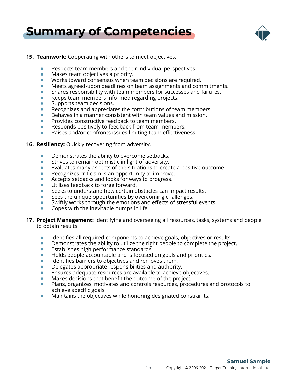

#### **15. Teamwork:** Cooperating with others to meet objectives.

- Respects team members and their individual perspectives.
- Makes team objectives a priority.  $\bullet$
- $\bullet$ Works toward consensus when team decisions are required.
- Meets agreed-upon deadlines on team assignments and commitments.
- Shares responsibility with team members for successes and failures.
- Keeps team members informed regarding projects.
- Supports team decisions.
- Recognizes and appreciates the contributions of team members.  $\bullet$
- Behaves in a manner consistent with team values and mission.
- Provides constructive feedback to team members.  $\bullet$
- Responds positively to feedback from team members.
- Raises and/or confronts issues limiting team effectiveness.
- **16. Resiliency:** Quickly recovering from adversity.
	- Demonstrates the ability to overcome setbacks.  $\bullet$
	- Strives to remain optimistic in light of adversity.  $\qquad \qquad \bullet$
	- Evaluates many aspects of the situations to create a positive outcome.  $\qquad \qquad \bullet$
	- Recognizes criticism is an opportunity to improve.  $\bullet$
	- Accepts setbacks and looks for ways to progress.
	- Utilizes feedback to forge forward.  $\bullet$
	- Seeks to understand how certain obstacles can impact results.
	- Sees the unique opportunities by overcoming challenges.
	- Swiftly works through the emotions and effects of stressful events.
	- Copes with the inevitable bumps in life.  $\bullet$
- **17. Project Management:** Identifying and overseeing all resources, tasks, systems and people to obtain results.
	- $\bullet$ Identifies all required components to achieve goals, objectives or results.
	- Demonstrates the ability to utilize the right people to complete the project.  $\bullet$
	- Establishes high performance standards.  $\bullet$
	- Holds people accountable and is focused on goals and priorities.  $\bullet$
	- Identifies barriers to objectives and removes them.
	- Delegates appropriate responsibilities and authority.
	- Ensures adequate resources are available to achieve objectives.
	- Makes decisions that benefit the outcome of the project.
	- Plans, organizes, motivates and controls resources, procedures and protocols to achieve specific goals.
	- Maintains the objectives while honoring designated constraints.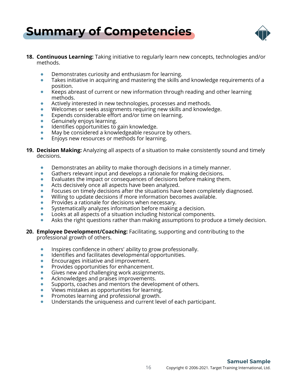



- **18. Continuous Learning:** Taking initiative to regularly learn new concepts, technologies and/or methods.
	- Demonstrates curiosity and enthusiasm for learning.  $\bullet$
	- $\bullet$ Takes initiative in acquiring and mastering the skills and knowledge requirements of a position.
	- Keeps abreast of current or new information through reading and other learning  $\bullet$ methods.
	- Actively interested in new technologies, processes and methods.  $\bullet$
	- Welcomes or seeks assignments requiring new skills and knowledge.
	- Expends considerable effort and/or time on learning.
	- Genuinely enjoys learning.  $\bullet$
	- Identifies opportunities to gain knowledge.
	- May be considered a knowledgeable resource by others.  $\bullet$
	- Enjoys new resources or methods for learning.
- **19. Decision Making:** Analyzing all aspects of a situation to make consistently sound and timely decisions.
	- $\bullet$ Demonstrates an ability to make thorough decisions in a timely manner.
	- Gathers relevant input and develops a rationale for making decisions.  $\qquad \qquad \bullet$
	- Evaluates the impact or consequences of decisions before making them.
	- Acts decisively once all aspects have been analyzed.  $\bullet$
	- Focuses on timely decisions after the situations have been completely diagnosed.
	- Willing to update decisions if more information becomes available.
	- Provides a rationale for decisions when necessary.  $\bullet$
	- Systematically analyzes information before making a decision.  $\bullet$
	- Looks at all aspects of a situation including historical components.  $\bullet$
	- Asks the right questions rather than making assumptions to produce a timely decision.  $\bullet$
- **20. Employee Development/Coaching:** Facilitating, supporting and contributing to the professional growth of others.
	- $\bullet$ Inspires confidence in others' ability to grow professionally.
	- Identifies and facilitates developmental opportunities.  $\bullet$
	- Encourages initiative and improvement.
	- Provides opportunities for enhancement.
	- Gives new and challenging work assignments.
	- Acknowledges and praises improvements.
	- Supports, coaches and mentors the development of others.
	- Views mistakes as opportunities for learning.  $\bullet$
	- Promotes learning and professional growth.
	- Understands the uniqueness and current level of each participant.  $\bullet$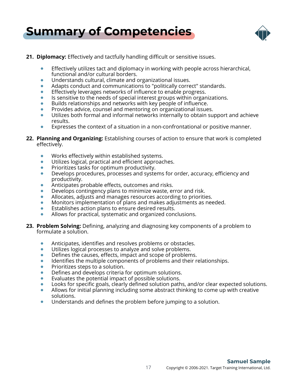

#### **21. Diplomacy:** Effectively and tactfully handling difficult or sensitive issues.

- Effectively utilizes tact and diplomacy in working with people across hierarchical, functional and/or cultural borders.
- Understands cultural, climate and organizational issues.  $\bullet$
- Adapts conduct and communications to "politically correct" standards.
- Effectively leverages networks of influence to enable progress.
- Is sensitive to the needs of special interest groups within organizations.  $\bullet$
- Builds relationships and networks with key people of influence.
- Provides advice, counsel and mentoring on organizational issues.  $\bullet$
- Utilizes both formal and informal networks internally to obtain support and achieve results.
- Expresses the context of a situation in a non-confrontational or positive manner.  $\bullet$
- **22. Planning and Organizing:** Establishing courses of action to ensure that work is completed effectively.
	- Works effectively within established systems.  $\bullet$
	- Utilizes logical, practical and efficient approaches.  $\qquad \qquad \bullet$
	- Prioritizes tasks for optimum productivity.  $\qquad \qquad \bullet$
	- Develops procedures, processes and systems for order, accuracy, efficiency and  $\bullet$ productivity.
	- Anticipates probable effects, outcomes and risks.  $\bullet$
	- Develops contingency plans to minimize waste, error and risk.
	- Allocates, adjusts and manages resources according to priorities.
	- Monitors implementation of plans and makes adjustments as needed.  $\bullet$
	- Establishes action plans to ensure desired results.  $\bullet$
	- Allows for practical, systematic and organized conclusions.
- **23. Problem Solving:** Defining, analyzing and diagnosing key components of a problem to formulate a solution.
	- Anticipates, identifies and resolves problems or obstacles.
	- $\bullet$ Utilizes logical processes to analyze and solve problems.
	- Defines the causes, effects, impact and scope of problems.  $\bullet$
	- Identifies the multiple components of problems and their relationships.
	- Prioritizes steps to a solution.  $\bullet$
	- Defines and develops criteria for optimum solutions.
	- Evaluates the potential impact of possible solutions.
	- Looks for specific goals, clearly defined solution paths, and/or clear expected solutions.
	- $\bullet$ Allows for initial planning including some abstract thinking to come up with creative solutions.
	- Understands and defines the problem before jumping to a solution.  $\bullet$